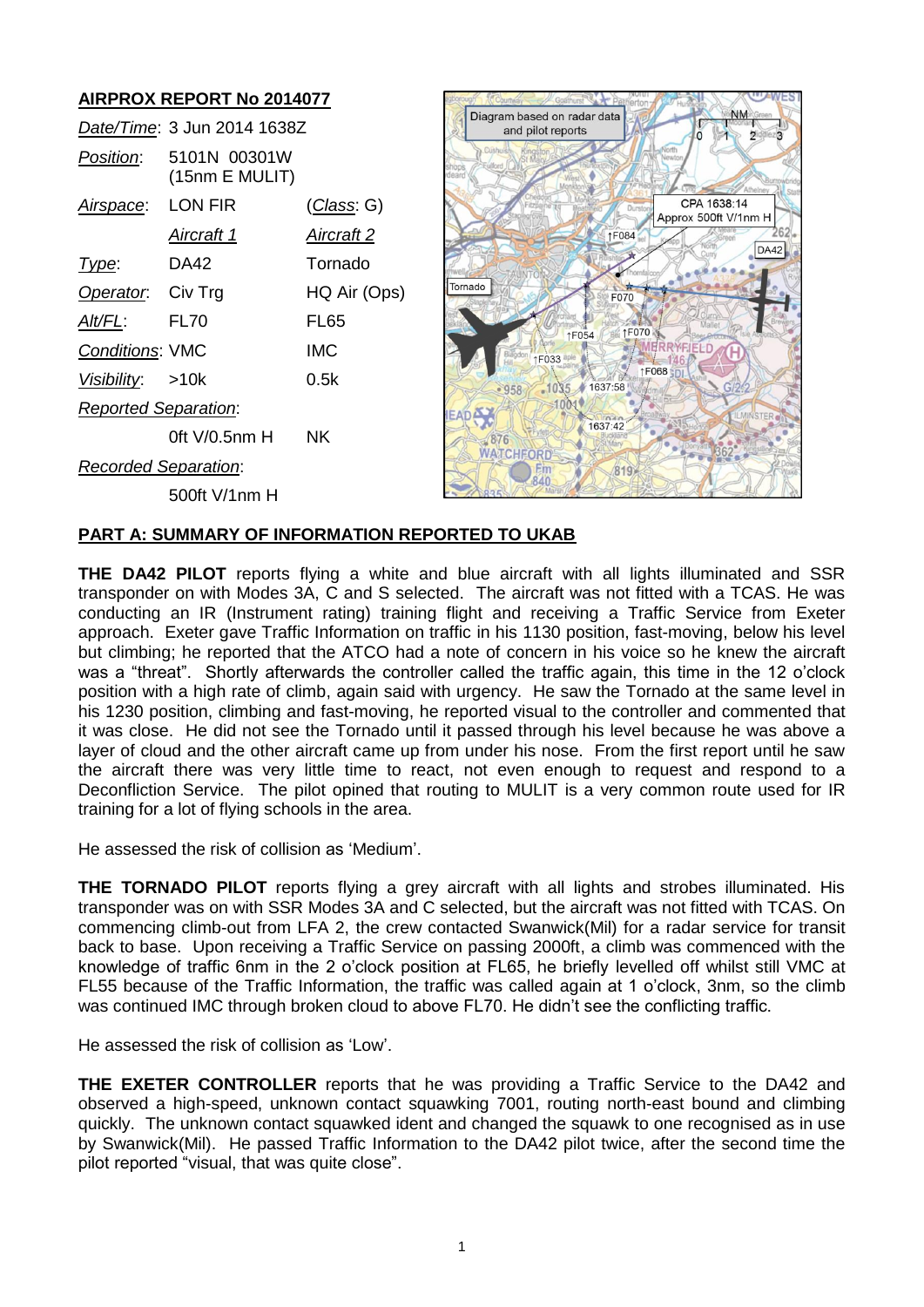#### **AIRPROX REPORT No 2014077** Diagram based on radar data *Date/Time*: 3 Jun 2014 1638Z and pilot reports *Position*: 5101N 00301W (15nm E MULIT) *Airspace*: LON FIR (*Class*: G) CPA 1638:14 Approx 500ft V/1nm H *Aircraft 1 Aircraft 2* ↑F084 **DA42** *Type*: DA42 Tornado Tornado **Operator:** Civ Trg HQ Air (Ops) F070 *Alt/FL*: FL70 FL65 1F070 1F054 *Conditions*: VMC IMC **1F033 1F068** *Visibility*: >10k 0.5k 1035 1637:58  $•958$  $1001*$ *Reported Separation*: 1637:42 0ft V/0.5nm H NK 876 **WATCHFORD** *Recorded Separation*:  $819*$ **RAD** 500ft V/1nm H

# **PART A: SUMMARY OF INFORMATION REPORTED TO UKAB**

**THE DA42 PILOT** reports flying a white and blue aircraft with all lights illuminated and SSR transponder on with Modes 3A, C and S selected. The aircraft was not fitted with a TCAS. He was conducting an IR (Instrument rating) training flight and receiving a Traffic Service from Exeter approach. Exeter gave Traffic Information on traffic in his 1130 position, fast-moving, below his level but climbing; he reported that the ATCO had a note of concern in his voice so he knew the aircraft was a "threat". Shortly afterwards the controller called the traffic again, this time in the 12 o'clock position with a high rate of climb, again said with urgency. He saw the Tornado at the same level in his 1230 position, climbing and fast-moving, he reported visual to the controller and commented that it was close. He did not see the Tornado until it passed through his level because he was above a layer of cloud and the other aircraft came up from under his nose. From the first report until he saw the aircraft there was very little time to react, not even enough to request and respond to a Deconfliction Service. The pilot opined that routing to MULIT is a very common route used for IR training for a lot of flying schools in the area.

He assessed the risk of collision as 'Medium'.

**THE TORNADO PILOT** reports flying a grey aircraft with all lights and strobes illuminated. His transponder was on with SSR Modes 3A and C selected, but the aircraft was not fitted with TCAS. On commencing climb-out from LFA 2, the crew contacted Swanwick(Mil) for a radar service for transit back to base. Upon receiving a Traffic Service on passing 2000ft, a climb was commenced with the knowledge of traffic 6nm in the 2 o'clock position at FL65, he briefly levelled off whilst still VMC at FL55 because of the Traffic Information, the traffic was called again at 1 o'clock, 3nm, so the climb was continued IMC through broken cloud to above FL70. He didn't see the conflicting traffic.

He assessed the risk of collision as 'Low'.

**THE EXETER CONTROLLER** reports that he was providing a Traffic Service to the DA42 and observed a high-speed, unknown contact squawking 7001, routing north-east bound and climbing quickly. The unknown contact squawked ident and changed the squawk to one recognised as in use by Swanwick(Mil). He passed Traffic Information to the DA42 pilot twice, after the second time the pilot reported "visual, that was quite close".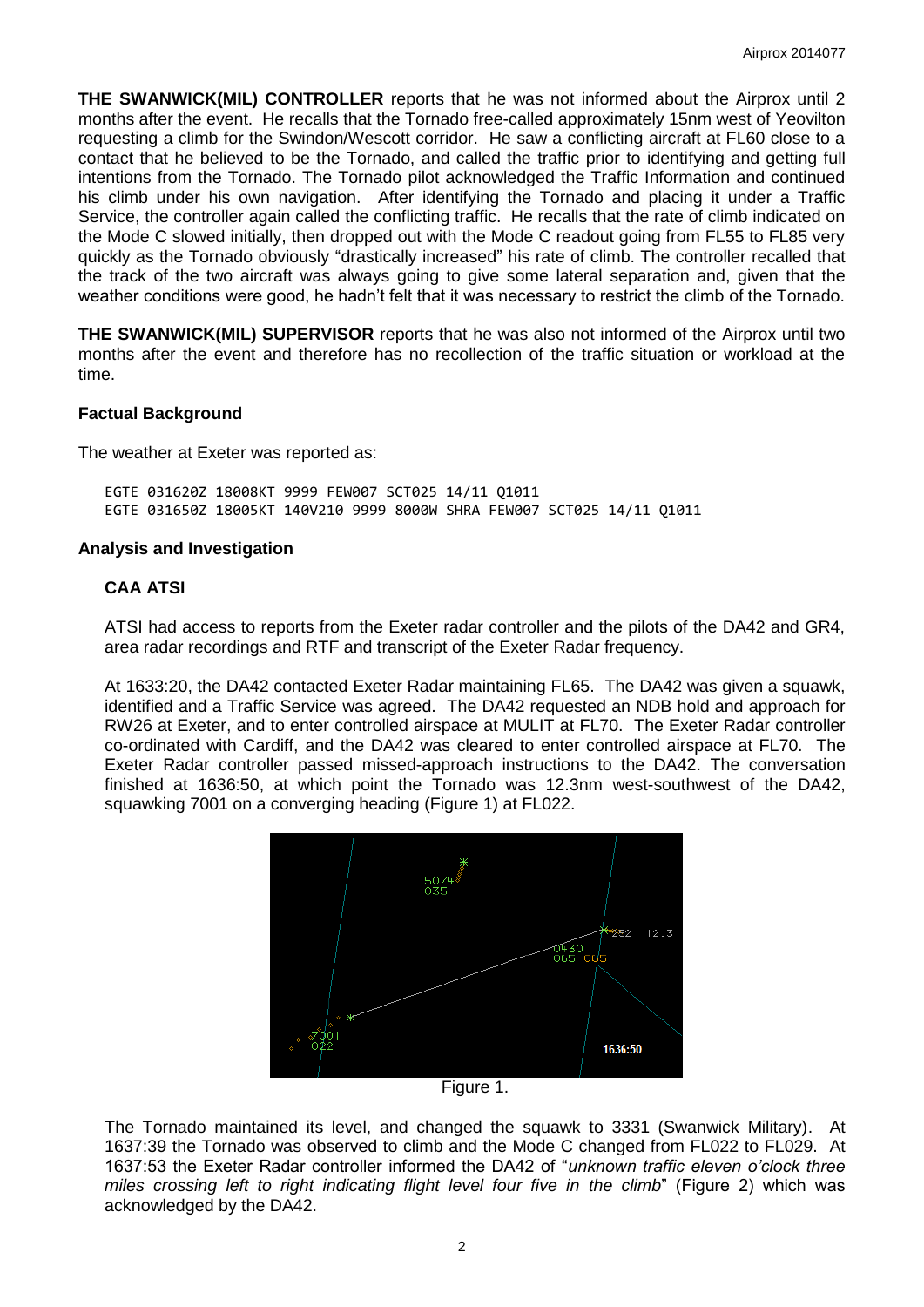**THE SWANWICK(MIL) CONTROLLER** reports that he was not informed about the Airprox until 2 months after the event. He recalls that the Tornado free-called approximately 15nm west of Yeovilton requesting a climb for the Swindon/Wescott corridor. He saw a conflicting aircraft at FL60 close to a contact that he believed to be the Tornado, and called the traffic prior to identifying and getting full intentions from the Tornado. The Tornado pilot acknowledged the Traffic Information and continued his climb under his own navigation. After identifying the Tornado and placing it under a Traffic Service, the controller again called the conflicting traffic. He recalls that the rate of climb indicated on the Mode C slowed initially, then dropped out with the Mode C readout going from FL55 to FL85 very quickly as the Tornado obviously "drastically increased" his rate of climb. The controller recalled that the track of the two aircraft was always going to give some lateral separation and, given that the weather conditions were good, he hadn't felt that it was necessary to restrict the climb of the Tornado.

**THE SWANWICK(MIL) SUPERVISOR** reports that he was also not informed of the Airprox until two months after the event and therefore has no recollection of the traffic situation or workload at the time.

## **Factual Background**

The weather at Exeter was reported as:

EGTE 031620Z 18008KT 9999 FEW007 SCT025 14/11 Q1011 EGTE 031650Z 18005KT 140V210 9999 8000W SHRA FEW007 SCT025 14/11 Q1011

#### **Analysis and Investigation**

## **CAA ATSI**

ATSI had access to reports from the Exeter radar controller and the pilots of the DA42 and GR4, area radar recordings and RTF and transcript of the Exeter Radar frequency.

At 1633:20, the DA42 contacted Exeter Radar maintaining FL65. The DA42 was given a squawk, identified and a Traffic Service was agreed. The DA42 requested an NDB hold and approach for RW26 at Exeter, and to enter controlled airspace at MULIT at FL70. The Exeter Radar controller co-ordinated with Cardiff, and the DA42 was cleared to enter controlled airspace at FL70. The Exeter Radar controller passed missed-approach instructions to the DA42. The conversation finished at 1636:50, at which point the Tornado was 12.3nm west-southwest of the DA42, squawking 7001 on a converging heading (Figure 1) at FL022.



Figure 1.

The Tornado maintained its level, and changed the squawk to 3331 (Swanwick Military). At 1637:39 the Tornado was observed to climb and the Mode C changed from FL022 to FL029. At 1637:53 the Exeter Radar controller informed the DA42 of "*unknown traffic eleven o'clock three miles crossing left to right indicating flight level four five in the climb*" (Figure 2) which was acknowledged by the DA42.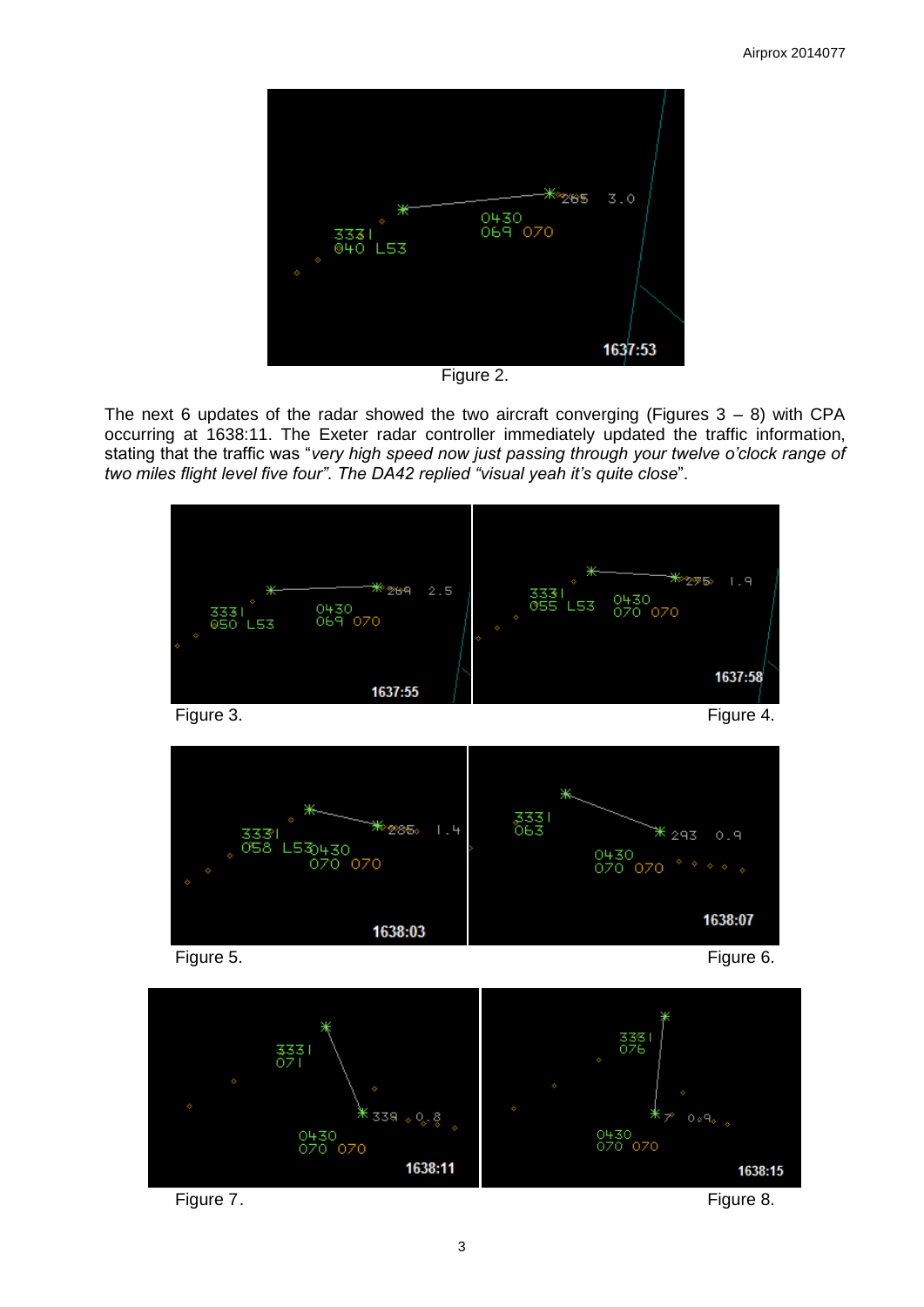

Figure 2.

The next 6 updates of the radar showed the two aircraft converging (Figures  $3 - 8$ ) with CPA occurring at 1638:11. The Exeter radar controller immediately updated the traffic information, stating that the traffic was "*very high speed now just passing through your twelve o'clock range of two miles flight level five four"*. *The DA42 replied "visual yeah it's quite close*".

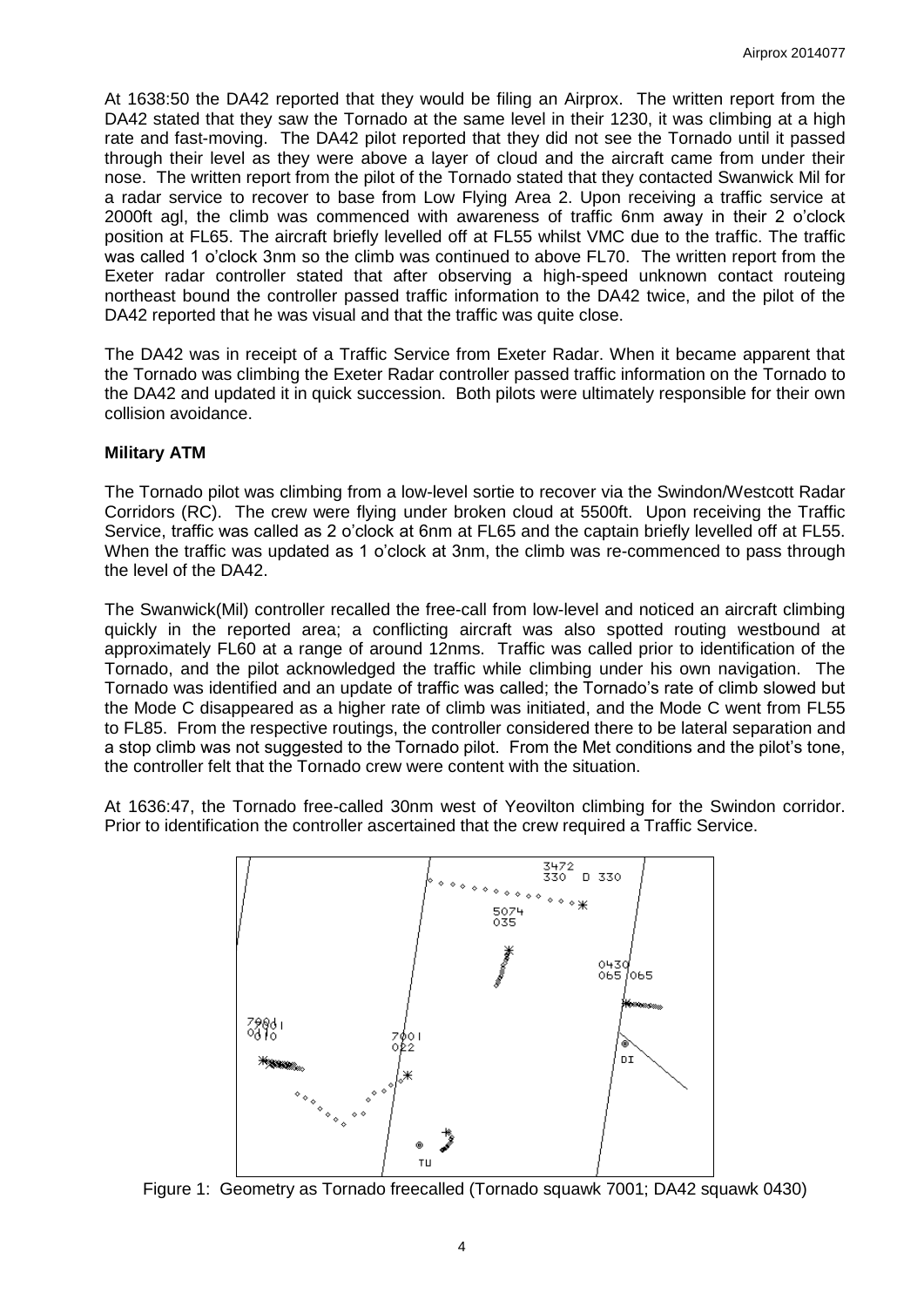At 1638:50 the DA42 reported that they would be filing an Airprox. The written report from the DA42 stated that they saw the Tornado at the same level in their 1230, it was climbing at a high rate and fast-moving. The DA42 pilot reported that they did not see the Tornado until it passed through their level as they were above a layer of cloud and the aircraft came from under their nose. The written report from the pilot of the Tornado stated that they contacted Swanwick Mil for a radar service to recover to base from Low Flying Area 2. Upon receiving a traffic service at 2000ft agl, the climb was commenced with awareness of traffic 6nm away in their 2 o'clock position at FL65. The aircraft briefly levelled off at FL55 whilst VMC due to the traffic. The traffic was called 1 o'clock 3nm so the climb was continued to above FL70. The written report from the Exeter radar controller stated that after observing a high-speed unknown contact routeing northeast bound the controller passed traffic information to the DA42 twice, and the pilot of the DA42 reported that he was visual and that the traffic was quite close.

The DA42 was in receipt of a Traffic Service from Exeter Radar. When it became apparent that the Tornado was climbing the Exeter Radar controller passed traffic information on the Tornado to the DA42 and updated it in quick succession. Both pilots were ultimately responsible for their own collision avoidance.

## **Military ATM**

The Tornado pilot was climbing from a low-level sortie to recover via the Swindon/Westcott Radar Corridors (RC). The crew were flying under broken cloud at 5500ft. Upon receiving the Traffic Service, traffic was called as 2 o'clock at 6nm at FL65 and the captain briefly levelled off at FL55. When the traffic was updated as 1 o'clock at 3nm, the climb was re-commenced to pass through the level of the DA42.

The Swanwick(Mil) controller recalled the free-call from low-level and noticed an aircraft climbing quickly in the reported area; a conflicting aircraft was also spotted routing westbound at approximately FL60 at a range of around 12nms. Traffic was called prior to identification of the Tornado, and the pilot acknowledged the traffic while climbing under his own navigation. The Tornado was identified and an update of traffic was called; the Tornado's rate of climb slowed but the Mode C disappeared as a higher rate of climb was initiated, and the Mode C went from FL55 to FL85. From the respective routings, the controller considered there to be lateral separation and a stop climb was not suggested to the Tornado pilot. From the Met conditions and the pilot's tone, the controller felt that the Tornado crew were content with the situation.

At 1636:47, the Tornado free-called 30nm west of Yeovilton climbing for the Swindon corridor. Prior to identification the controller ascertained that the crew required a Traffic Service.



Figure 1: Geometry as Tornado freecalled (Tornado squawk 7001; DA42 squawk 0430)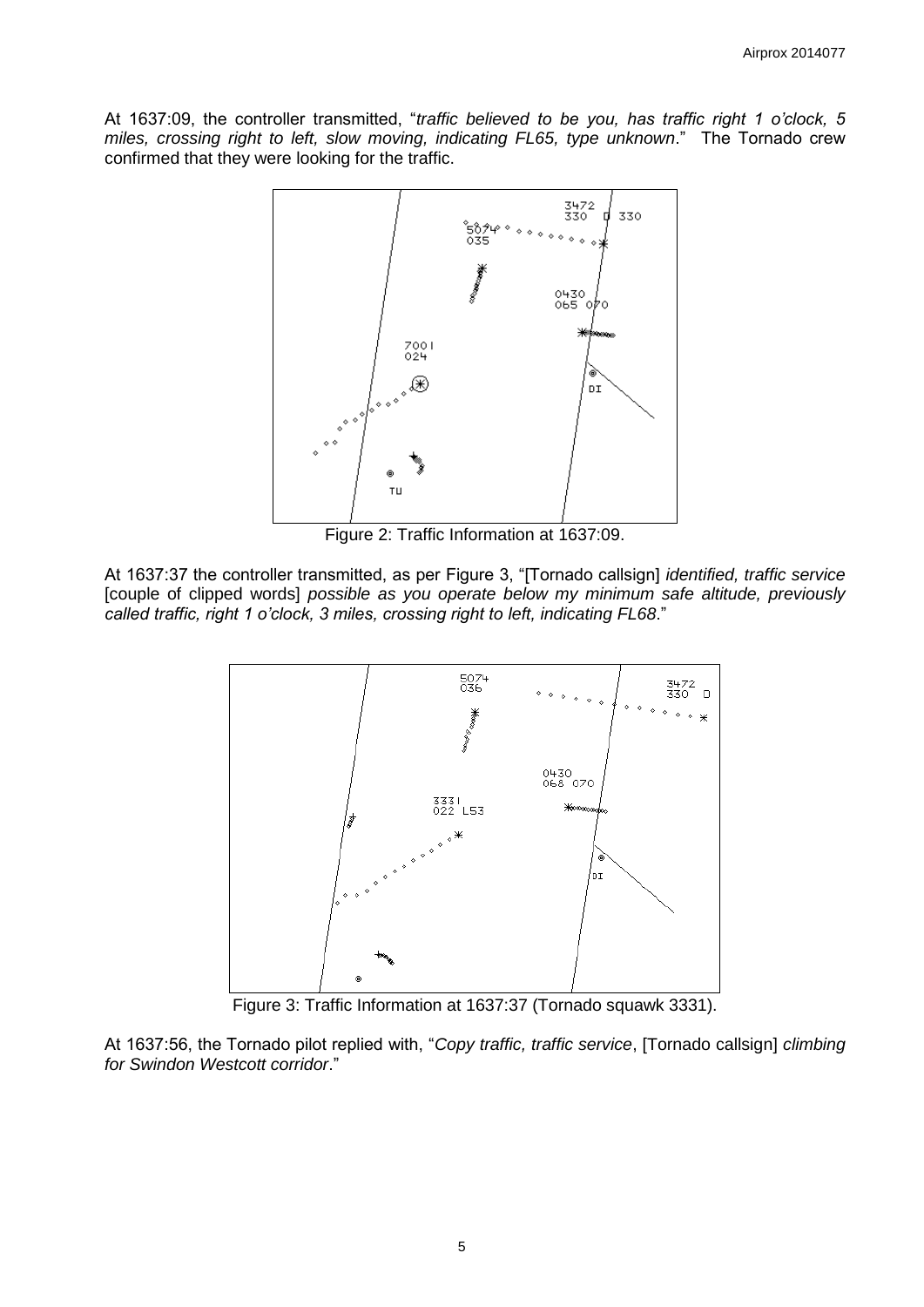At 1637:09, the controller transmitted, "*traffic believed to be you, has traffic right 1 o'clock, 5 miles, crossing right to left, slow moving, indicating FL65, type unknown*." The Tornado crew confirmed that they were looking for the traffic.



Figure 2: Traffic Information at 1637:09.

At 1637:37 the controller transmitted, as per Figure 3, "[Tornado callsign] *identified, traffic service* [couple of clipped words] *possible as you operate below my minimum safe altitude, previously called traffic, right 1 o'clock, 3 miles, crossing right to left, indicating FL68*."



Figure 3: Traffic Information at 1637:37 (Tornado squawk 3331).

At 1637:56, the Tornado pilot replied with, "*Copy traffic, traffic service*, [Tornado callsign] *climbing for Swindon Westcott corridor*."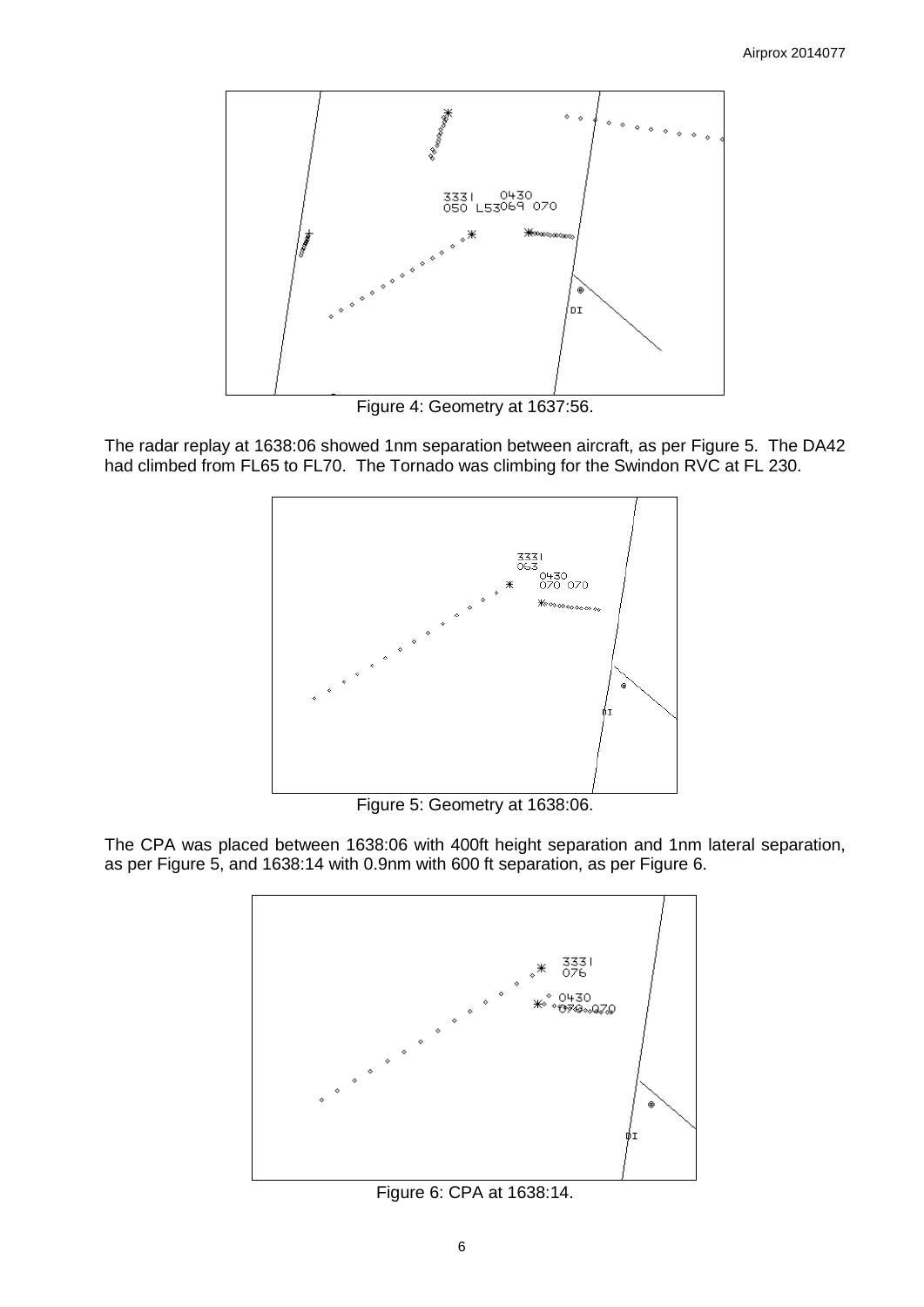

Figure 4: Geometry at 1637:56.

The radar replay at 1638:06 showed 1nm separation between aircraft, as per Figure 5. The DA42 had climbed from FL65 to FL70. The Tornado was climbing for the Swindon RVC at FL 230.



Figure 5: Geometry at 1638:06.

The CPA was placed between 1638:06 with 400ft height separation and 1nm lateral separation, as per Figure 5, and 1638:14 with 0.9nm with 600 ft separation, as per Figure 6.



Figure 6: CPA at 1638:14.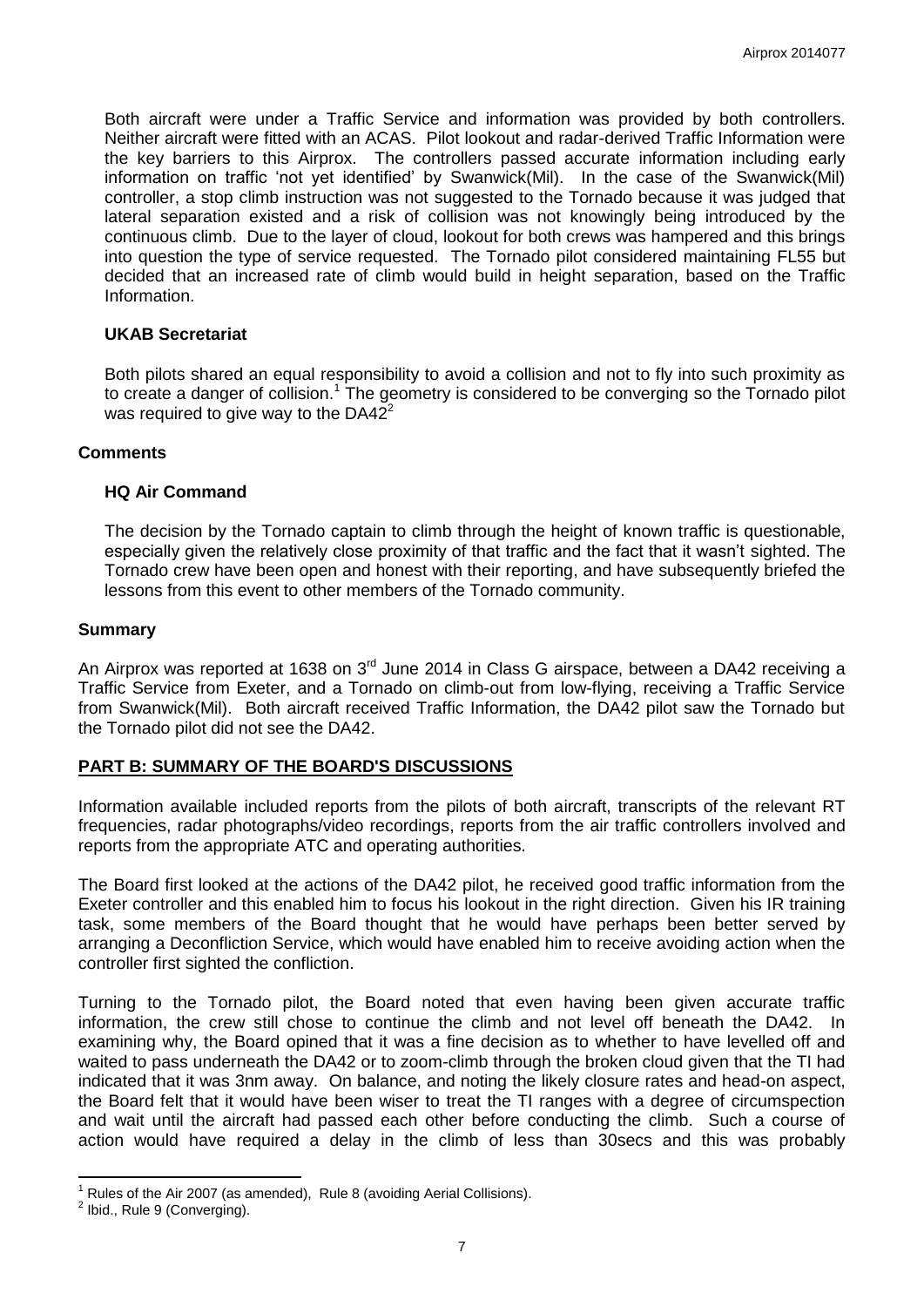Both aircraft were under a Traffic Service and information was provided by both controllers. Neither aircraft were fitted with an ACAS. Pilot lookout and radar-derived Traffic Information were the key barriers to this Airprox. The controllers passed accurate information including early information on traffic 'not yet identified' by Swanwick(Mil). In the case of the Swanwick(Mil) controller, a stop climb instruction was not suggested to the Tornado because it was judged that lateral separation existed and a risk of collision was not knowingly being introduced by the continuous climb. Due to the layer of cloud, lookout for both crews was hampered and this brings into question the type of service requested. The Tornado pilot considered maintaining FL55 but decided that an increased rate of climb would build in height separation, based on the Traffic Information.

## **UKAB Secretariat**

Both pilots shared an equal responsibility to avoid a collision and not to fly into such proximity as to create a danger of collision.<sup>1</sup> The geometry is considered to be converging so the Tornado pilot was required to give way to the  $DA42^2$ 

## **Comments**

## **HQ Air Command**

The decision by the Tornado captain to climb through the height of known traffic is questionable, especially given the relatively close proximity of that traffic and the fact that it wasn't sighted. The Tornado crew have been open and honest with their reporting, and have subsequently briefed the lessons from this event to other members of the Tornado community.

#### **Summary**

An Airprox was reported at 1638 on 3<sup>rd</sup> June 2014 in Class G airspace, between a DA42 receiving a Traffic Service from Exeter, and a Tornado on climb-out from low-flying, receiving a Traffic Service from Swanwick(Mil). Both aircraft received Traffic Information, the DA42 pilot saw the Tornado but the Tornado pilot did not see the DA42.

# **PART B: SUMMARY OF THE BOARD'S DISCUSSIONS**

Information available included reports from the pilots of both aircraft, transcripts of the relevant RT frequencies, radar photographs/video recordings, reports from the air traffic controllers involved and reports from the appropriate ATC and operating authorities.

The Board first looked at the actions of the DA42 pilot, he received good traffic information from the Exeter controller and this enabled him to focus his lookout in the right direction. Given his IR training task, some members of the Board thought that he would have perhaps been better served by arranging a Deconfliction Service, which would have enabled him to receive avoiding action when the controller first sighted the confliction.

Turning to the Tornado pilot, the Board noted that even having been given accurate traffic information, the crew still chose to continue the climb and not level off beneath the DA42. In examining why, the Board opined that it was a fine decision as to whether to have levelled off and waited to pass underneath the DA42 or to zoom-climb through the broken cloud given that the TI had indicated that it was 3nm away. On balance, and noting the likely closure rates and head-on aspect, the Board felt that it would have been wiser to treat the TI ranges with a degree of circumspection and wait until the aircraft had passed each other before conducting the climb. Such a course of action would have required a delay in the climb of less than 30secs and this was probably

 $\overline{\phantom{a}}$ 

Rules of the Air 2007 (as amended), Rule 8 (avoiding Aerial Collisions).

 $2$  Ibid., Rule 9 (Converging).